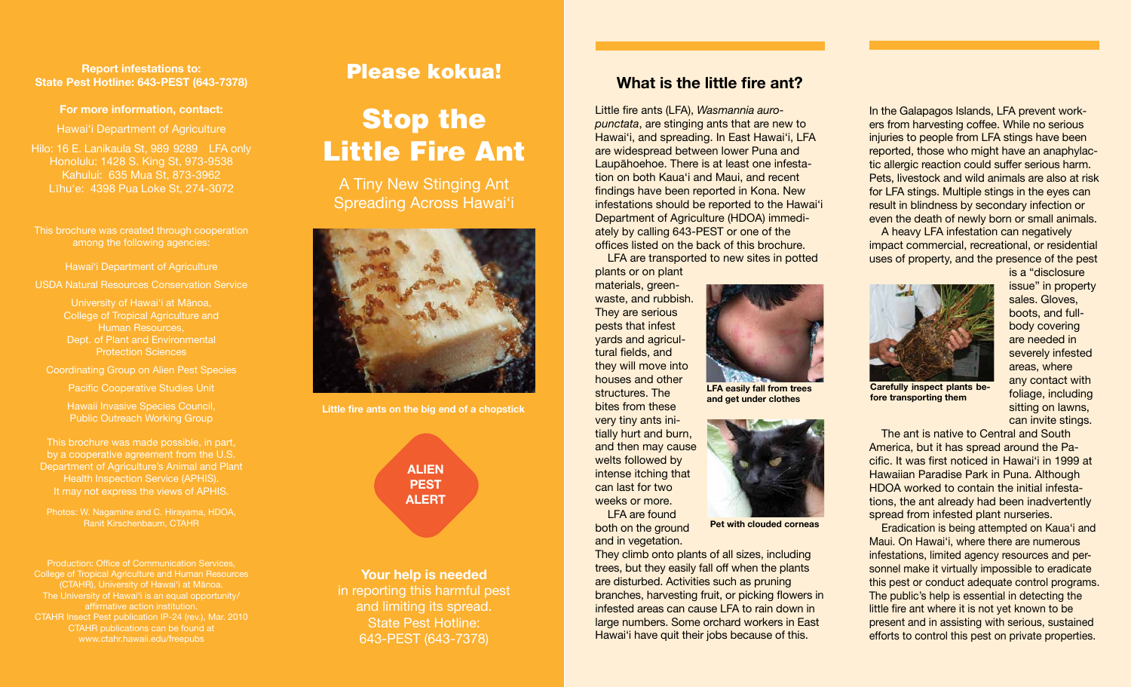#### **Report infestations to: State Pest Hotline: 643-PEST (643-7378)**

#### **For more information, contact:**

Hawai'i Department of Agriculture

Hilo: 16 E. Lanikaula St, 989 9289 LFA only Honolulu: 1428 S. King St, 973-9538 Kahului: 635 Mua St, 873-3962 Līhu'e: 4398 Pua Loke St, 274-3072

This brochure was created through cooperation among the following agencies:

Hawai'i Department of Agriculture

USDA Natural Resources Conservation Service

University of Hawai'i at Mānoa, College of Tropical Agriculture and Human Resources, Dept. of Plant and Environmental

Coordinating Group on Alien Pest Species 

Pacific Cooperative Studies Unit

Hawaii Invasive Species Council, Public Outreach Working Group

This brochure was made possible, in part, by a cooperative agreement from the U.S. Department of Agriculture's Animal and Plant Health Inspection Service (APHIS). It may not express the views of APHIS.

Photos: W. Nagamine and C. Hirayama, HDOA,

Production: Office of Communication Services, College of Tropical Agriculture and Human Resources (CTAHR), University of Hawai'i at Mānoa. The University of Hawai'i is an equal opportunity/ affirmative action institution. CTAHR publications can be found at 

# Please kokua!

# Stop the Little Fire Ant

A Tiny New Stinging Ant Spreading Across Hawai'i



**Little fire ants on the big end of a chopstick** 

**ALIEN PEST ALERT** 

**Your help is needed**  in reporting this harmful pest and limiting its spread. State Pest Hotline: 643-PEST (643-7378)

## **What is the little fire ant?**

Little fire ants (LFA), *Wasmannia auropunctata*, are stinging ants that are new to Hawai'i, and spreading. In East Hawai'i, LFA are widespread between lower Puna and Laupāhoehoe. There is at least one infestation on both Kaua'i and Maui, and recent findings have been reported in Kona. New infestations should be reported to the Hawai'i Department of Agriculture (HDOA) immediately by calling 643-PEST or one of the offices listed on the back of this brochure.

LFA are transported to new sites in potted plants or on plant

> **LFA easily fall from trees and get under clothes**

**Pet with clouded corneas** 

materials, greenwaste, and rubbish. They are serious pests that infest yards and agricultural fields, and they will move into houses and other structures. The bites from these

very tiny ants initially hurt and burn, and then may cause welts followed by intense itching that can last for two weeks or more. LFA are found

 both on the ground and in vegetation.

 They climb onto plants of all sizes, including trees, but they easily fall off when the plants are disturbed. Activities such as pruning branches, harvesting fruit, or picking flowers in infested areas can cause LFA to rain down in large numbers. Some orchard workers in East Hawai'i have quit their jobs because of this.

 In the Galapagos Islands, LFA prevent work- ers from harvesting coffee. While no serious injuries to people from LFA stings have been reported, those who might have an anaphylac- tic allergic reaction could suffer serious harm. Pets, livestock and wild animals are also at risk for LFA stings. Multiple stings in the eyes can result in blindness by secondary infection or even the death of newly born or small animals.

 impact commercial, recreational, or residential uses of property, and the presence of the pest A heavy LFA infestation can negatively



**Carefully inspect plants before transporting them** 

 is a "disclosure issue" in property boots, and full- are needed in any contact with sitting on lawns, can invite stings. sales. Gloves, body covering severely infested areas, where foliage, including

The ant is native to Central and South America, but it has spread around the Pacific. It was first noticed in Hawai'i in 1999 at Hawaiian Paradise Park in Puna. Although HDOA worked to contain the initial infestations, the ant already had been inadvertently spread from infested plant nurseries.

Eradication is being attempted on Kaua'i and Maui. On Hawai'i, where there are numerous infestations, limited agency resources and personnel make it virtually impossible to eradicate this pest or conduct adequate control programs. The public's help is essential in detecting the little fire ant where it is not yet known to be present and in assisting with serious, sustained efforts to control this pest on private properties.